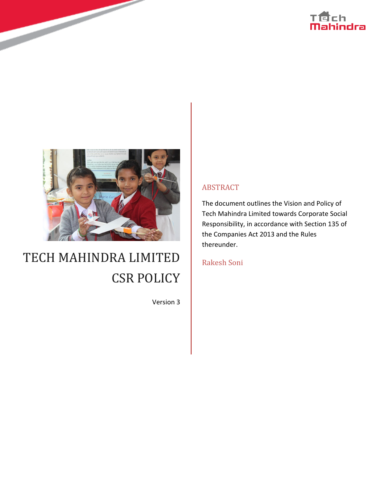



# TECH MAHINDRA LIMITED CSR POLICY

Version 3

#### ABSTRACT

The document outlines the Vision and Policy of Tech Mahindra Limited towards Corporate Social Responsibility, in accordance with Section 135 of the Companies Act 2013 and the Rules thereunder.

Rakesh Soni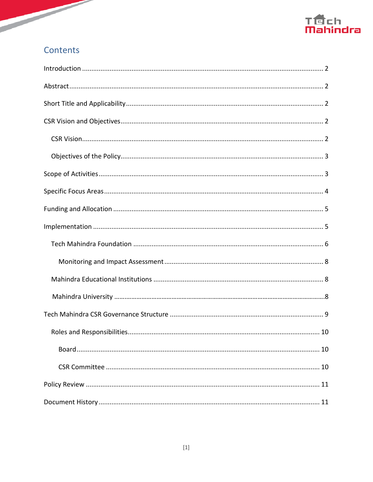

### Contents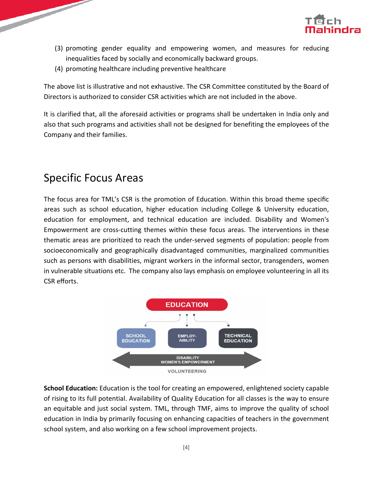

- $\boxtimes$  promoting gender equality and empowering women, and measures for reducing $\boxtimes$ inequalities faced by socially and economically backward groups.
- promoting healthcare including preventive healthcare

The above list is illustrative and not exhaustive. The CSR Committee constituted by the Board of Directors is authorized to consider CSR activities which are not included in the above.

It is clarified that, all the aforesaid activities or programs shall be undertaken in India only and also that such programs and activities shall not be designed for benefiting the employees of the Company and their families.

### <span id="page-4-0"></span>Specific Focus Areas

The focus area for TML's CSR is the promotion of Education. Within this broad theme specific areas such as school education, higher education including College & University education, education for employment, and technical education are included. Disability and Women's Empowerment are cross-cutting themes within these focus areas. The interventions in these thematic areas are prioritized to reach the under-served segments of population: people from socioeconomically and geographically disadvantaged communities, marginalized communities such as persons with disabilities, migrant workers in the informal sector, transgenders, women in vulnerable situations etc.<sup>[2]</sup>The company also lays emphasis on employee volunteering in all its CSR efforts.



**School Education:** Education is the tool for creating an empowered, enlightened society capable of rising to its full potential. Availability of Quality Education for all classes is the way to ensure an equitable and just social system. TML, through TMF, aims to improve the quality of school education in India by primarily focusing on enhancing capacities of teachers in the government school system, and also working on a few school improvement projects.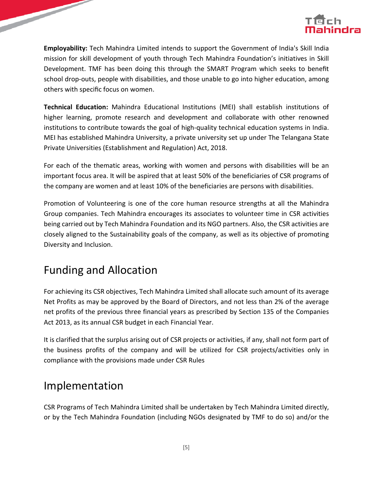

**Employability:** Tech Mahindra Limited intends to support the Government of India's Skill India mission for skill development of youth through Tech Mahindra Foundation's initiatives in Skill Development. TMF has been doing this through the SMART Program which seeks to benefit school drop-outs, people with disabilities, and those unable to go into higher education, among others with specific focus on women.

**Technical Education:** Mahindra Educational Institutions (MEI) shall establish institutions of higher learning, promote research and development and collaborate with other renowned institutions to contribute towards the goal of high-quality technical education systems in India. MEI has established Mahindra University, a private university set up under The Telangana State Private Universities (Establishment and Regulation) Act, 2018.

For each of the thematic areas, working with women and persons with disabilities will be an important focus area. It will be aspired that at least 50% of the beneficiaries of CSR programs of the company are women and at least 10% of the beneficiaries are persons with disabilities.

Promotion of Volunteering is one of the core human resource strengths at all the Mahindra Group companies. Tech Mahindra encourages its associates to volunteer time in CSR activities being carried out by Tech Mahindra Foundation and its NGO partners. Also, the CSR activities are closely aligned to the Sustainability goals of the company, as well as its objective of promoting Diversity and Inclusion.

# <span id="page-5-0"></span>Funding and Allocation

For achieving its CSR objectives, Tech Mahindra Limited shall allocate such amount of its average Net Profits as may be approved by the Board of Directors, and not less than 2% of the average net profits of the previous three financial years as prescribed by Section 135 of the Companies Act 2013, as its annual CSR budget in each Financial Year.

It is clarified that the surplus arising out of CSR projects or activities, if any, shall not form part of the business profits of the company and will be utilized for CSR projects/activities only in compliance with the provisions made under CSR Rules

### <span id="page-5-1"></span>Implementation

CSR Programs of Tech Mahindra Limited shall be undertaken by Tech Mahindra Limited directly, or by the Tech Mahindra Foundation (including NGOs designated by TMF to do so) and/or the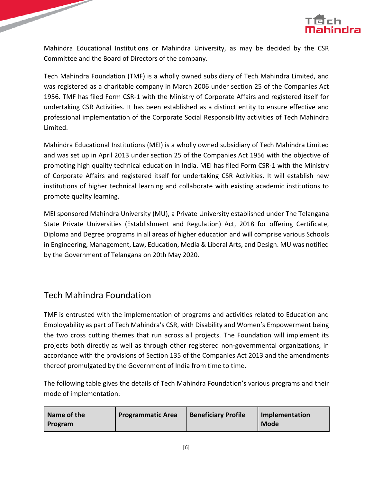

Mahindra Educational Institutions or Mahindra University, as may be decided by the CSR Committee and the Board of Directors of the company.

Tech Mahindra Foundation (TMF) is a wholly owned subsidiary of Tech Mahindra Limited, and was registered as a charitable company in March 2006 under section 25 of the Companies Act 1956. TMF has filed Form CSR-1 with the Ministry of Corporate Affairs and registered itself for undertaking CSR Activities. It has been established as a distinct entity to ensure effective and professional implementation of the Corporate Social Responsibility activities of Tech Mahindra Limited.

Mahindra Educational Institutions (MEI) is a wholly owned subsidiary of Tech Mahindra Limited and was set up in April 2013 under section 25 of the Companies Act 1956 with the objective of promoting high quality technical education in India. MEI has filed Form CSR-1 with the Ministry of Corporate Affairs and registered itself for undertaking CSR Activities. It will establish new institutions of higher technical learning and collaborate with existing academic institutions to promote quality learning.

MEI sponsored Mahindra University (MU), a Private University established under The Telangana State Private Universities (Establishment and Regulation) Act, 2018 for offering Certificate, Diploma and Degree programs in all areas of higher education and will comprise various Schools in Engineering, Management, Law, Education, Media & Liberal Arts, and Design. MU was notified by the Government of Telangana on 20th May 2020.

# <span id="page-6-0"></span>Tech Mahindra Foundation

TMF is entrusted with the implementation of programs and activities related to Education and Employability as part of Tech Mahindra's CSR, with Disability and Women's Empowerment being the two cross cutting themes that run across all projects. The Foundation will implement its projects both directly as well as through other registered non-governmental organizations, in accordance with the provisions of Section 135 of the Companies Act 2013 and the amendments thereof promulgated by the Government of India from time to time.

The following table gives the details of Tech Mahindra Foundation's various programs and their mode of implementation:

| Name of the    | <b>Programmatic Area</b> | <b>Beneficiary Profile</b> | Implementation |
|----------------|--------------------------|----------------------------|----------------|
| <b>Program</b> |                          |                            | <b>Mode</b>    |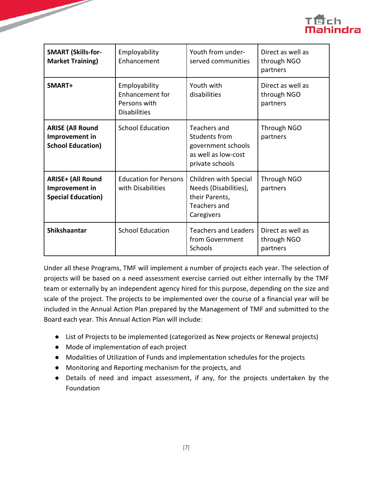

| <b>SMART (Skills-for-</b><br><b>Market Training)</b>                    | Employability<br>Enhancement                                                   | Youth from under-<br>served communities                                                        | Direct as well as<br>through NGO<br>partners |  |
|-------------------------------------------------------------------------|--------------------------------------------------------------------------------|------------------------------------------------------------------------------------------------|----------------------------------------------|--|
| SMART+                                                                  | Employability<br><b>Enhancement for</b><br>Persons with<br><b>Disabilities</b> | Youth with<br>disabilities                                                                     | Direct as well as<br>through NGO<br>partners |  |
| <b>ARISE (All Round</b><br>Improvement in<br><b>School Education)</b>   | <b>School Education</b>                                                        | Teachers and<br>Students from<br>government schools<br>as well as low-cost<br>private schools  | Through NGO<br>partners                      |  |
| <b>ARISE+ (All Round</b><br>Improvement in<br><b>Special Education)</b> | <b>Education for Persons</b><br>with Disabilities                              | Children with Special<br>Needs (Disabilities),<br>their Parents,<br>Teachers and<br>Caregivers | Through NGO<br>partners                      |  |
| Shikshaantar                                                            | <b>School Education</b>                                                        | <b>Teachers and Leaders</b><br>from Government<br><b>Schools</b>                               | Direct as well as<br>through NGO<br>partners |  |

Under all these Programs, TMF will implement a number of projects each year. The selection of projects will be based on a need assessment exercise carried out either internally by the TMF team or externally by an independent agency hired for this purpose, depending on the size and scale of the project. The projects to be implemented over the course of a financial year will be included in the Annual Action Plan prepared by the Management of TMF and submitted to the Board each year. This Annual Action Plan will include:

- List of Projects to be implemented (categorized as New projects or Renewal projects)
- Mode of implementation of each project

- Modalities of Utilization of Funds and implementation schedules for the projects
- Monitoring and Reporting mechanism for the projects, and
- Details of need and impact assessment, if any, for the projects undertaken by the Foundation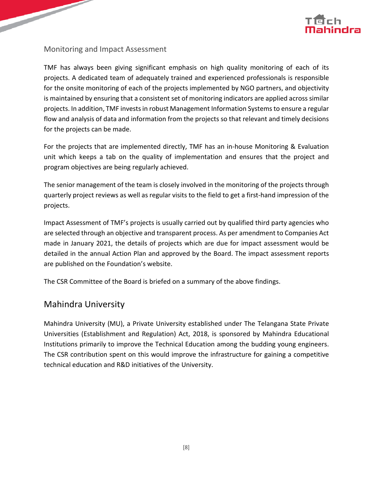

#### <span id="page-8-0"></span>Monitoring and Impact Assessment

TMF has always been giving significant emphasis on high quality monitoring of each of its projects. A dedicated team of adequately trained and experienced professionals is responsible for the onsite monitoring of each of the projects implemented by NGO partners, and objectivity is maintained by ensuring that a consistent set of monitoring indicators are applied across similar projects. In addition, TMF invests in robust Management Information Systems to ensure a regular flow and analysis of data and information from the projects so that relevant and timely decisions for the projects can be made.

For the projects that are implemented directly, TMF has an in-house Monitoring & Evaluation unit which keeps a tab on the quality of implementation and ensures that the project and program objectives are being regularly achieved.

The senior management of the team is closely involved in the monitoring of the projects through quarterly project reviews as well as regular visits to the field to get a first-hand impression of the projects.

Impact Assessment of TMF's projects is usually carried out by qualified third party agencies who are selected through an objective and transparent process. As per amendment to Companies Act made in January 2021, the details of projects which are due for impact assessment would be detailed in the annual Action Plan and approved by the Board. The impact assessment reports are published on the Foundation's website.

<span id="page-8-1"></span>The CSR Committee of the Board is briefed on a summary of the above findings.

#### Mahindra University

Mahindra University (MU), a Private University established under The Telangana State Private Universities (Establishment and Regulation) Act, 2018, is sponsored by Mahindra Educational Institutions primarily to improve the Technical Education among the budding young engineers. The CSR contribution spent on this would improve the infrastructure for gaining a competitive technical education and R&D initiatives of the University.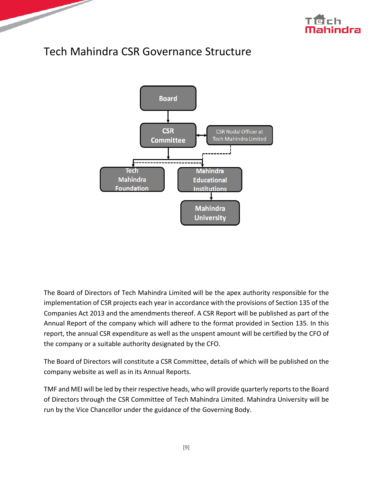



### <span id="page-9-0"></span>Tech Mahindra CSR Governance Structure



The Board of Directors of Tech Mahindra Limited will be the apex authority responsible for the implementation of CSR projects each year in accordance with the provisions of Section 135 of the Companies Act 2013 and the amendments thereof. A CSR Report will be published as part of the Annual Report of the company which will adhere to the format provided in Section 135. In this report, the annual CSR expenditure as well as the unspent amount will be certified by the CFO of the company or a suitable authority designated by the CFO.

The Board of Directors will constitute a CSR Committee, details of which will be published on the company website as well as in its Annual Reports.

TMF and MEI will be led by their respective heads, who will provide quarterly reports to the Board of Directors through the CSR Committee of Tech Mahindra Limited. Mahindra University will be run by the Vice Chancellor under the guidance of the Governing Body.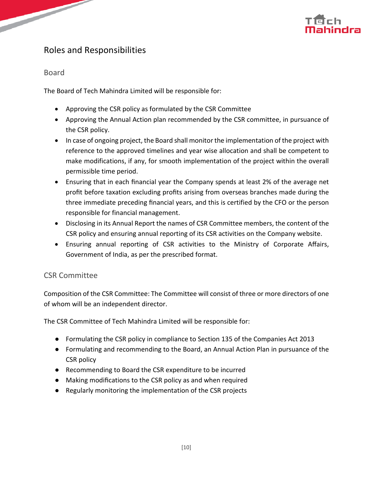### <span id="page-10-0"></span>Roles and Responsibilities

#### <span id="page-10-1"></span>Board

The Board of Tech Mahindra Limited will be responsible for:

- Approving the CSR policy as formulated by the CSR Committee
- Approving the Annual Action plan recommended by the CSR committee, in pursuance of the CSR policy.
- In case of ongoing project, the Board shall monitor the implementation of the project with reference to the approved timelines and year wise allocation and shall be competent to make modifications, if any, for smooth implementation of the project within the overall permissible time period.
- Ensuring that in each financial year the Company spends at least 2% of the average net profit before taxation excluding profits arising from overseas branches made during the three immediate preceding financial years, and this is certified by the CFO or the person responsible for financial management.
- Disclosing in its Annual Report the names of CSR Committee members, the content of the CSR policy and ensuring annual reporting of its CSR activities on the Company website.
- Ensuring annual reporting of CSR activities to the Ministry of Corporate Affairs, Government of India, as per the prescribed format.

#### <span id="page-10-2"></span>CSR Committee

Composition of the CSR Committee: The Committee will consist of three or more directors of one of whom will be an independent director.

The CSR Committee of Tech Mahindra Limited will be responsible for:

- Formulating the CSR policy in compliance to Section 135 of the Companies Act 2013
- Formulating and recommending to the Board, an Annual Action Plan in pursuance of the CSR policy
- Recommending to Board the CSR expenditure to be incurred
- Making modifications to the CSR policy as and when required
- Regularly monitoring the implementation of the CSR projects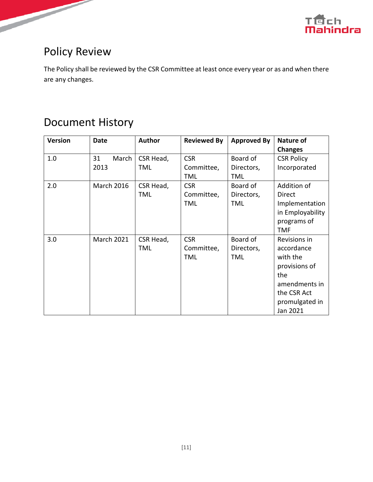

### Disclaimer

Tech Mahindra, herein referred to as TechM provide a wide array of presentations and reports, with the contributions of various professionals. These presentations and reports are for informational purposes and private circulation only and do not constitute an offer to buy or sell any securities mentioned therein. They do not purport to be a complete description of the markets conditions or developments referred to in the material. While utmost care has been taken in preparing the above, we claim no responsibility for their accuracy. We shall not be liable for any direct or indirect losses arising from the use thereof and the viewers are requested to use the information contained herein at their own risk. These presentations and reports should not be reproduced, recirculated, published in any media, website or otherwise, in any form or manner, in part or as a whole, without the express consent in writing of TechM or its subsidiaries. Any unauthorized use, disclosure or public dissemination of information contained herein is prohibited. Unless specifically noted, TechM is not responsible for the content of these presentations and/or the opinions of the presenters. Individual situations and local practices and standards may vary, so viewers and others utilizing information contained within a presentation are free to adopt differing standards and approaches as they see fit. You may not repackage or sell the presentation. Products and names mentioned in materials or presentations are the property of their respective owners and the mention of them does not constitute an endorsement by TechM. Information contained in a presentation hosted or promoted by TechM is provided "as is" without warranty of any kind, either expressed or implied, including any warranty of merchantability or fitness for a particular purpose. TechM assumes no liability or responsibility for the contents of a presentation or the opinions expressed by the presenters. All expressions of opinion are subject to change without notice.